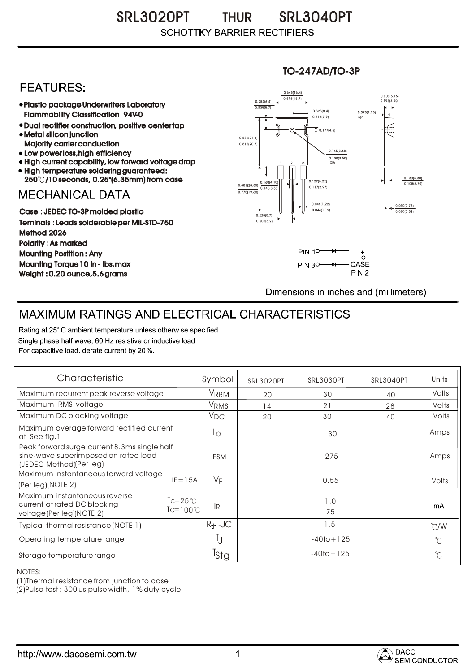### SRL3020PT THUR SRL3040PT **THUR SCHOTTKY BARRIER RECTIFIERS**

## **FEATURES:**

- Plastic package Underwriters Laboratory Flammability Classification 94V-0
- Dual rectifier construction, positive center tap Metal silicon junction
- Majority carrier conduction
- Low power loss, high efficiency
- High current capability, low forward voltage drop • High temperature soldering guaranteed:
- 250 /10 seconds, 0.25"(6.35mm) from case

## **MECHANICAL DATA**

Case : JEDEC TO-3P molded plastic Teminals : Leads solderable per MIL-STD-750 Method 2026 Polarity : As marked Mounting Postition : Any Mounting Torque 10 in - lbs.max Weight : 0.20 ounce,5.6 grams

#### 0.160(4.10)  $0.140(3)$ 0.127(3.22) 0.117(2.97) 0.030(0.76) 0.020(0.51) 0.801(20.35) 0.138(3.50) 0.145(3.68) 0.775(19.60) 0.839(21.3)<br>0.815(20.7) 0.252(6.4) 0.225(5.7)  $0.618(15.7)$ 0.645(16.4) 0.203(5.16) 0.193(4.90) <sup>1</sup> <sup>2</sup> 3 DIA  $\overline{1}$  0.177(4.5) 0.078(1.98) Ref. 0.130(3.30)<br>0.108(2.70) 0.225(5.7) 0.205(5.2)  $0.313(7.9)$ 0.323(8.4) 0.048(1.22) 0.044(1.12)

TO-247AD/TO-3P



Dimensions in inches and (millimeters)

# MAXIMUM RATINGS AND ELECTRICAL CHARACTERISTICS

Rating at 25° C ambient temperature unless otherwise specified. Single phase half wave, 60 Hz resistive or inductive load. For capacitive load, derate current by 20%.

| Characteristic                                                                                                  |                                        | Symbol           | <b>SRL3020PT</b> | SRL3030PT      | SRL3040PT | Units         |
|-----------------------------------------------------------------------------------------------------------------|----------------------------------------|------------------|------------------|----------------|-----------|---------------|
| Maximum recurrent peak reverse voltage                                                                          |                                        | VRRM             | 20               | 30             | 40        | Volts         |
| Maximum RMS voltage                                                                                             |                                        | VRMS             | 14               | 21             | 28        | Volts         |
| Maximum DC blocking voltage                                                                                     |                                        | $V_{DC}$         | 20               | 30             | 40        | Volts         |
| Maximum average forward rectified current<br>at See fig.1                                                       |                                        | 1 <sub>O</sub>   | 30               |                |           | Amps          |
| Peak forward surge current 8.3ms single half<br>sine-wave superimposed on rated load<br>(JEDEC Method)(Per leg) |                                        | <b>IFSM</b>      |                  | 275            |           | Amps          |
| Maximum instantaneous forward voltage<br>(Per leg)(NOTE 2)                                                      | $IF = 15A$                             | $V_F$            |                  | 0.55           |           | Volts         |
| Maximum instantaneous reverse<br>current at rated DC blocking<br>voltage(Per leg)(NOTE 2)                       | $Ic=25^{\circ}C$<br>$Tc=100^{\circ}$ C | 1R               |                  | 1.0<br>75      |           | mA            |
| Typical thermal resistance (NOTE 1)                                                                             |                                        | $R_{th}$ -JC     |                  | 1.5            |           | $\degree$ C/W |
| Operating temperature range                                                                                     |                                        | IJ               |                  | $-40$ to + 125 |           | $^{\circ}C$   |
| Storage temperature range                                                                                       |                                        | <sup>I</sup> Stg |                  | $-40$ to + 125 |           | $^{\circ}C$   |

NOTES:

(1)Thermal resistance from junction to case

(2)Pulse test : 300 us pulse width, 1% duty cycle